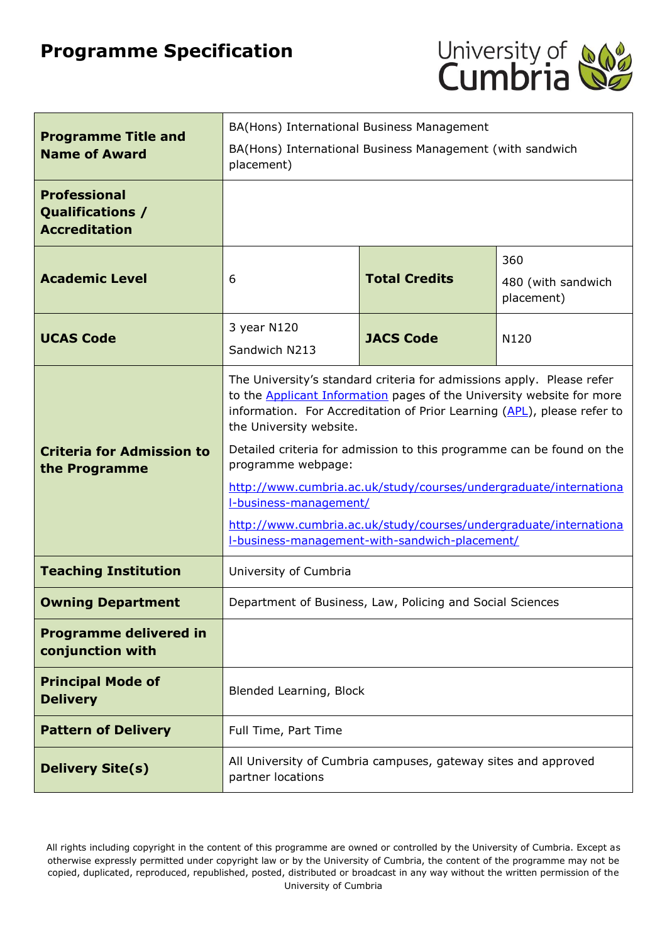# **Programme Specification**



| <b>Programme Title and</b><br><b>Name of Award</b>              | BA(Hons) International Business Management<br>BA(Hons) International Business Management (with sandwich<br>placement)                                                                                                                                                                                                                                                                                                                                                                                                                                                                   |  |                    |
|-----------------------------------------------------------------|-----------------------------------------------------------------------------------------------------------------------------------------------------------------------------------------------------------------------------------------------------------------------------------------------------------------------------------------------------------------------------------------------------------------------------------------------------------------------------------------------------------------------------------------------------------------------------------------|--|--------------------|
| <b>Professional</b><br>Qualifications /<br><b>Accreditation</b> |                                                                                                                                                                                                                                                                                                                                                                                                                                                                                                                                                                                         |  |                    |
| <b>Academic Level</b>                                           | 360<br><b>Total Credits</b><br>6<br>placement)                                                                                                                                                                                                                                                                                                                                                                                                                                                                                                                                          |  | 480 (with sandwich |
| <b>UCAS Code</b>                                                | 3 year N120<br><b>JACS Code</b><br>N <sub>120</sub><br>Sandwich N213                                                                                                                                                                                                                                                                                                                                                                                                                                                                                                                    |  |                    |
| <b>Criteria for Admission to</b><br>the Programme               | The University's standard criteria for admissions apply. Please refer<br>to the <b>Applicant Information</b> pages of the University website for more<br>information. For Accreditation of Prior Learning (APL), please refer to<br>the University website.<br>Detailed criteria for admission to this programme can be found on the<br>programme webpage:<br>http://www.cumbria.ac.uk/study/courses/undergraduate/internationa<br><b>I-business-management/</b><br>http://www.cumbria.ac.uk/study/courses/undergraduate/internationa<br>I-business-management-with-sandwich-placement/ |  |                    |
| <b>Teaching Institution</b>                                     | University of Cumbria                                                                                                                                                                                                                                                                                                                                                                                                                                                                                                                                                                   |  |                    |
| <b>Owning Department</b>                                        | Department of Business, Law, Policing and Social Sciences                                                                                                                                                                                                                                                                                                                                                                                                                                                                                                                               |  |                    |
| <b>Programme delivered in</b><br>conjunction with               |                                                                                                                                                                                                                                                                                                                                                                                                                                                                                                                                                                                         |  |                    |
| <b>Principal Mode of</b><br><b>Delivery</b>                     | Blended Learning, Block                                                                                                                                                                                                                                                                                                                                                                                                                                                                                                                                                                 |  |                    |
| <b>Pattern of Delivery</b>                                      | Full Time, Part Time                                                                                                                                                                                                                                                                                                                                                                                                                                                                                                                                                                    |  |                    |
| <b>Delivery Site(s)</b>                                         | All University of Cumbria campuses, gateway sites and approved<br>partner locations                                                                                                                                                                                                                                                                                                                                                                                                                                                                                                     |  |                    |

All rights including copyright in the content of this programme are owned or controlled by the University of Cumbria. Except as otherwise expressly permitted under copyright law or by the University of Cumbria, the content of the programme may not be copied, duplicated, reproduced, republished, posted, distributed or broadcast in any way without the written permission of the University of Cumbria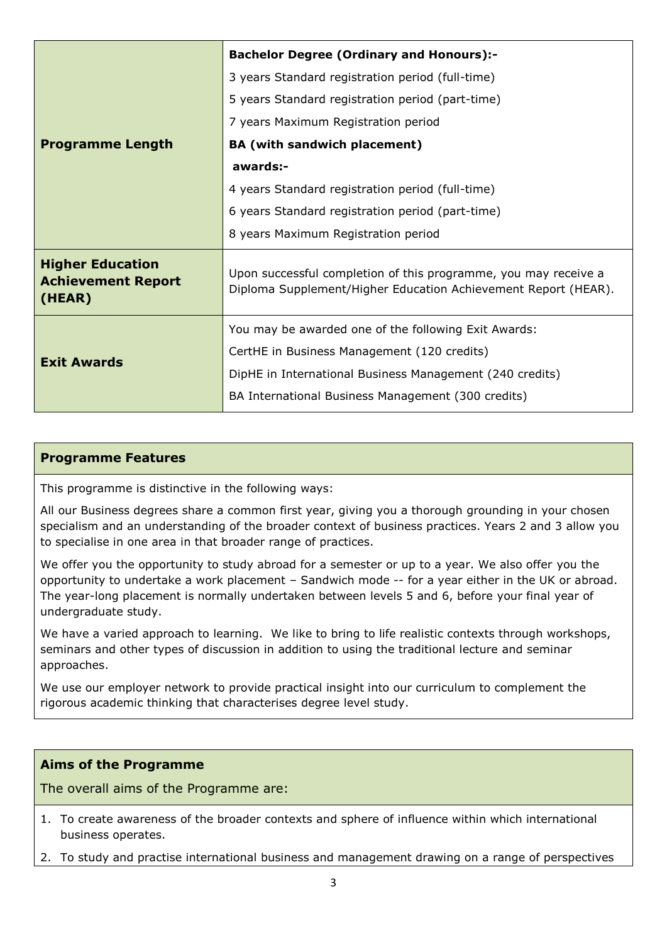|                                                                | <b>Bachelor Degree (Ordinary and Honours):-</b>                                                                                   |  |  |
|----------------------------------------------------------------|-----------------------------------------------------------------------------------------------------------------------------------|--|--|
|                                                                | 3 years Standard registration period (full-time)                                                                                  |  |  |
|                                                                | 5 years Standard registration period (part-time)                                                                                  |  |  |
|                                                                | 7 years Maximum Registration period                                                                                               |  |  |
| <b>Programme Length</b>                                        | <b>BA</b> (with sandwich placement)                                                                                               |  |  |
|                                                                | awards:-                                                                                                                          |  |  |
|                                                                | 4 years Standard registration period (full-time)                                                                                  |  |  |
|                                                                | 6 years Standard registration period (part-time)                                                                                  |  |  |
|                                                                | 8 years Maximum Registration period                                                                                               |  |  |
| <b>Higher Education</b><br><b>Achievement Report</b><br>(HEAR) | Upon successful completion of this programme, you may receive a<br>Diploma Supplement/Higher Education Achievement Report (HEAR). |  |  |
|                                                                | You may be awarded one of the following Exit Awards:                                                                              |  |  |
| <b>Exit Awards</b>                                             | CertHE in Business Management (120 credits)                                                                                       |  |  |
|                                                                | DipHE in International Business Management (240 credits)                                                                          |  |  |
|                                                                | BA International Business Management (300 credits)                                                                                |  |  |

#### **Programme Features**

This programme is distinctive in the following ways:

All our Business degrees share a common first year, giving you a thorough grounding in your chosen specialism and an understanding of the broader context of business practices. Years 2 and 3 allow you to specialise in one area in that broader range of practices.

We offer you the opportunity to study abroad for a semester or up to a year. We also offer you the opportunity to undertake a work placement – Sandwich mode -- for a year either in the UK or abroad. The year-long placement is normally undertaken between levels 5 and 6, before your final year of undergraduate study.

We have a varied approach to learning. We like to bring to life realistic contexts through workshops, seminars and other types of discussion in addition to using the traditional lecture and seminar approaches.

We use our employer network to provide practical insight into our curriculum to complement the rigorous academic thinking that characterises degree level study.

#### **Aims of the Programme**

The overall aims of the Programme are:

- 1. To create awareness of the broader contexts and sphere of influence within which international business operates.
- 2. To study and practise international business and management drawing on a range of perspectives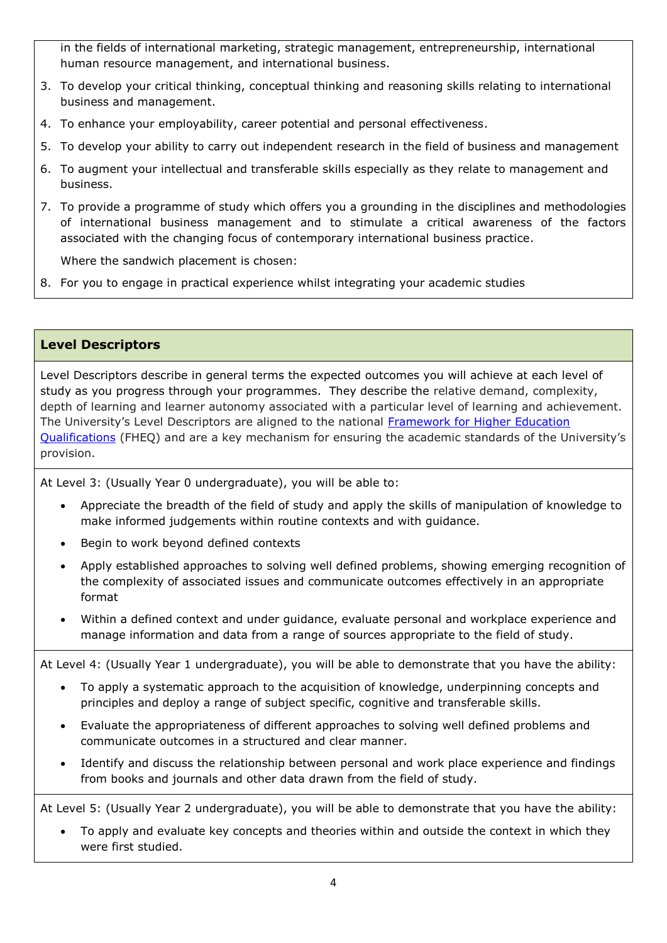in the fields of international marketing, strategic management, entrepreneurship, international human resource management, and international business.

- 3. To develop your critical thinking, conceptual thinking and reasoning skills relating to international business and management.
- 4. To enhance your employability, career potential and personal effectiveness.
- 5. To develop your ability to carry out independent research in the field of business and management
- 6. To augment your intellectual and transferable skills especially as they relate to management and business.
- 7. To provide a programme of study which offers you a grounding in the disciplines and methodologies of international business management and to stimulate a critical awareness of the factors associated with the changing focus of contemporary international business practice.

Where the sandwich placement is chosen:

8. For you to engage in practical experience whilst integrating your academic studies

#### **Level Descriptors**

Level Descriptors describe in general terms the expected outcomes you will achieve at each level of study as you progress through your programmes. They describe the relative demand, complexity, depth of learning and learner autonomy associated with a particular level of learning and achievement. The University's Level Descriptors are aligned to the national [Framework for Higher Education](http://www.qaa.ac.uk/en/Publications/Documents/The-framework-for-higher-education-qualifications-in-England-Wales-and-Northern-Ireland.pdf)  [Qualifications](http://www.qaa.ac.uk/en/Publications/Documents/The-framework-for-higher-education-qualifications-in-England-Wales-and-Northern-Ireland.pdf) (FHEQ) and are a key mechanism for ensuring the academic standards of the University's provision.

At Level 3: (Usually Year 0 undergraduate), you will be able to:

- Appreciate the breadth of the field of study and apply the skills of manipulation of knowledge to make informed judgements within routine contexts and with guidance.
- Begin to work beyond defined contexts
- Apply established approaches to solving well defined problems, showing emerging recognition of the complexity of associated issues and communicate outcomes effectively in an appropriate format
- Within a defined context and under guidance, evaluate personal and workplace experience and manage information and data from a range of sources appropriate to the field of study.

At Level 4: (Usually Year 1 undergraduate), you will be able to demonstrate that you have the ability:

- To apply a systematic approach to the acquisition of knowledge, underpinning concepts and principles and deploy a range of subject specific, cognitive and transferable skills.
- Evaluate the appropriateness of different approaches to solving well defined problems and communicate outcomes in a structured and clear manner.
- Identify and discuss the relationship between personal and work place experience and findings from books and journals and other data drawn from the field of study.

At Level 5: (Usually Year 2 undergraduate), you will be able to demonstrate that you have the ability:

 To apply and evaluate key concepts and theories within and outside the context in which they were first studied.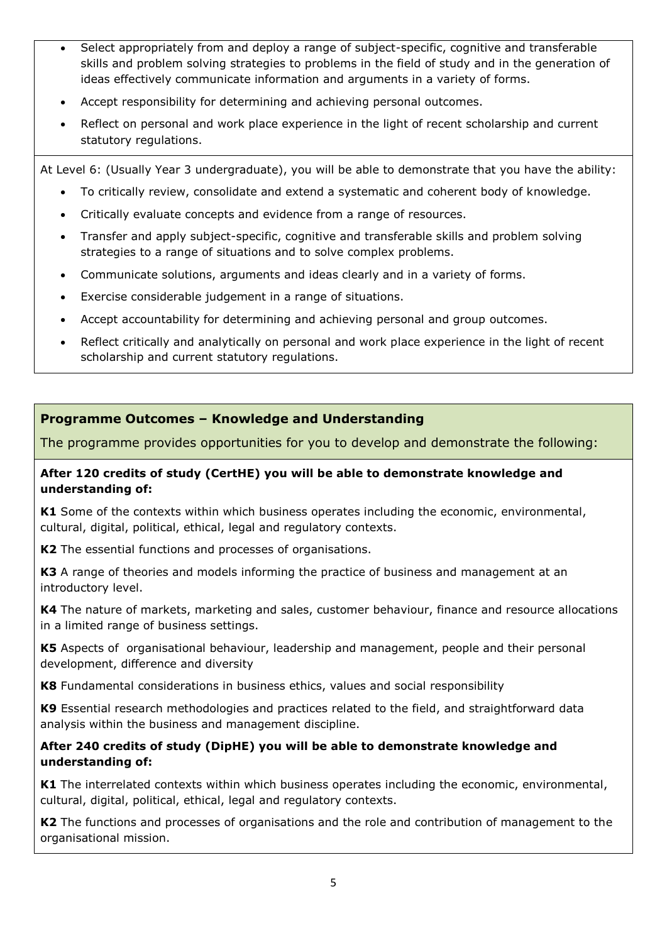- Select appropriately from and deploy a range of subject-specific, cognitive and transferable skills and problem solving strategies to problems in the field of study and in the generation of ideas effectively communicate information and arguments in a variety of forms.
- Accept responsibility for determining and achieving personal outcomes.
- Reflect on personal and work place experience in the light of recent scholarship and current statutory regulations.

At Level 6: (Usually Year 3 undergraduate), you will be able to demonstrate that you have the ability:

- To critically review, consolidate and extend a systematic and coherent body of knowledge.
- Critically evaluate concepts and evidence from a range of resources.
- Transfer and apply subject-specific, cognitive and transferable skills and problem solving strategies to a range of situations and to solve complex problems.
- Communicate solutions, arguments and ideas clearly and in a variety of forms.
- Exercise considerable judgement in a range of situations.
- Accept accountability for determining and achieving personal and group outcomes.
- Reflect critically and analytically on personal and work place experience in the light of recent scholarship and current statutory regulations.

#### **Programme Outcomes – Knowledge and Understanding**

The programme provides opportunities for you to develop and demonstrate the following:

#### **After 120 credits of study (CertHE) you will be able to demonstrate knowledge and understanding of:**

**K1** Some of the contexts within which business operates including the economic, environmental, cultural, digital, political, ethical, legal and regulatory contexts.

**K2** The essential functions and processes of organisations.

**K3** A range of theories and models informing the practice of business and management at an introductory level.

**K4** The nature of markets, marketing and sales, customer behaviour, finance and resource allocations in a limited range of business settings.

**K5** Aspects of organisational behaviour, leadership and management, people and their personal development, difference and diversity

**K8** Fundamental considerations in business ethics, values and social responsibility

**K9** Essential research methodologies and practices related to the field, and straightforward data analysis within the business and management discipline.

#### **After 240 credits of study (DipHE) you will be able to demonstrate knowledge and understanding of:**

**K1** The interrelated contexts within which business operates including the economic, environmental, cultural, digital, political, ethical, legal and regulatory contexts.

**K2** The functions and processes of organisations and the role and contribution of management to the organisational mission.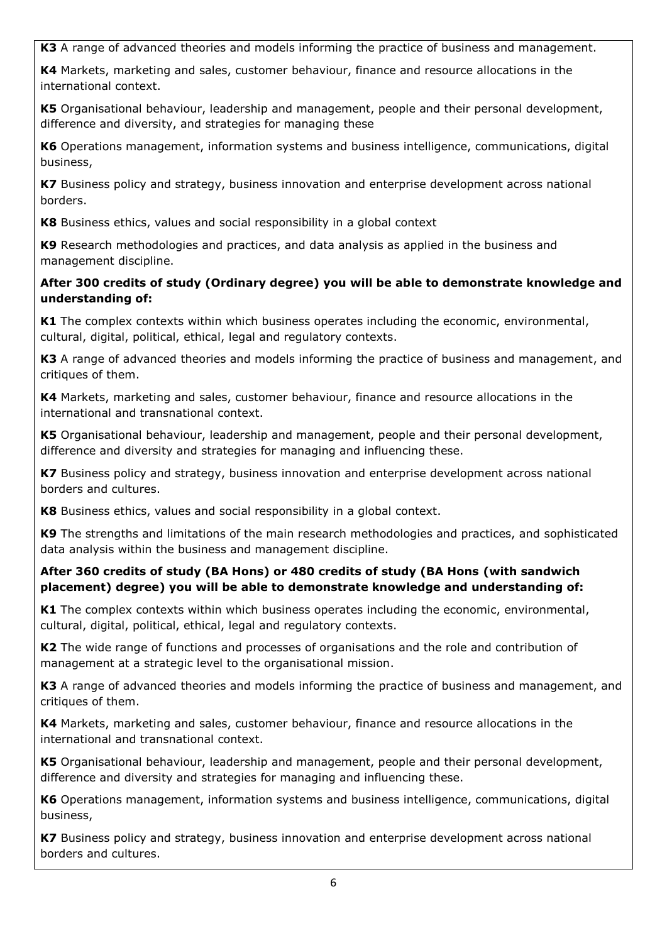**K3** A range of advanced theories and models informing the practice of business and management.

**K4** Markets, marketing and sales, customer behaviour, finance and resource allocations in the international context.

**K5** Organisational behaviour, leadership and management, people and their personal development, difference and diversity, and strategies for managing these

**K6** Operations management, information systems and business intelligence, communications, digital business,

**K7** Business policy and strategy, business innovation and enterprise development across national borders.

**K8** Business ethics, values and social responsibility in a global context

**K9** Research methodologies and practices, and data analysis as applied in the business and management discipline.

## **After 300 credits of study (Ordinary degree) you will be able to demonstrate knowledge and understanding of:**

**K1** The complex contexts within which business operates including the economic, environmental, cultural, digital, political, ethical, legal and regulatory contexts.

**K3** A range of advanced theories and models informing the practice of business and management, and critiques of them.

**K4** Markets, marketing and sales, customer behaviour, finance and resource allocations in the international and transnational context.

**K5** Organisational behaviour, leadership and management, people and their personal development, difference and diversity and strategies for managing and influencing these.

**K7** Business policy and strategy, business innovation and enterprise development across national borders and cultures.

**K8** Business ethics, values and social responsibility in a global context.

**K9** The strengths and limitations of the main research methodologies and practices, and sophisticated data analysis within the business and management discipline.

## **After 360 credits of study (BA Hons) or 480 credits of study (BA Hons (with sandwich placement) degree) you will be able to demonstrate knowledge and understanding of:**

**K1** The complex contexts within which business operates including the economic, environmental, cultural, digital, political, ethical, legal and regulatory contexts.

**K2** The wide range of functions and processes of organisations and the role and contribution of management at a strategic level to the organisational mission.

**K3** A range of advanced theories and models informing the practice of business and management, and critiques of them.

**K4** Markets, marketing and sales, customer behaviour, finance and resource allocations in the international and transnational context.

**K5** Organisational behaviour, leadership and management, people and their personal development, difference and diversity and strategies for managing and influencing these.

**K6** Operations management, information systems and business intelligence, communications, digital business,

**K7** Business policy and strategy, business innovation and enterprise development across national borders and cultures.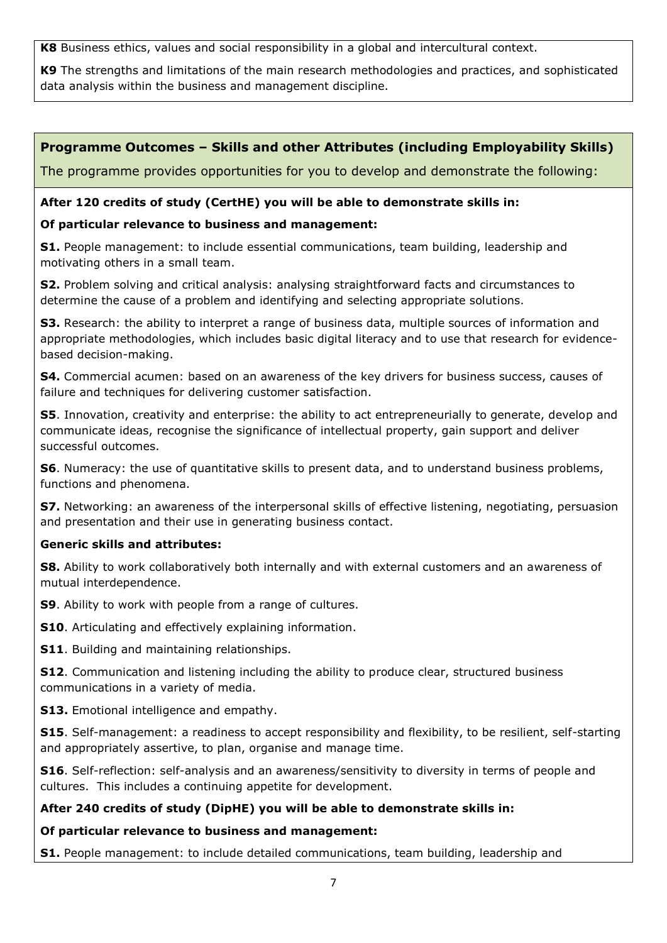**K8** Business ethics, values and social responsibility in a global and intercultural context.

**K9** The strengths and limitations of the main research methodologies and practices, and sophisticated data analysis within the business and management discipline.

# **Programme Outcomes – Skills and other Attributes (including Employability Skills)**

The programme provides opportunities for you to develop and demonstrate the following:

## **After 120 credits of study (CertHE) you will be able to demonstrate skills in:**

## **Of particular relevance to business and management:**

**S1.** People management: to include essential communications, team building, leadership and motivating others in a small team.

**S2.** Problem solving and critical analysis: analysing straightforward facts and circumstances to determine the cause of a problem and identifying and selecting appropriate solutions.

**S3.** Research: the ability to interpret a range of business data, multiple sources of information and appropriate methodologies, which includes basic digital literacy and to use that research for evidencebased decision-making.

**S4.** Commercial acumen: based on an awareness of the key drivers for business success, causes of failure and techniques for delivering customer satisfaction.

**S5**. Innovation, creativity and enterprise: the ability to act entrepreneurially to generate, develop and communicate ideas, recognise the significance of intellectual property, gain support and deliver successful outcomes.

**S6**. Numeracy: the use of quantitative skills to present data, and to understand business problems, functions and phenomena.

**S7.** Networking: an awareness of the interpersonal skills of effective listening, negotiating, persuasion and presentation and their use in generating business contact.

#### **Generic skills and attributes:**

**S8.** Ability to work collaboratively both internally and with external customers and an awareness of mutual interdependence.

**S9**. Ability to work with people from a range of cultures.

**S10**. Articulating and effectively explaining information.

**S11**. Building and maintaining relationships.

**S12.** Communication and listening including the ability to produce clear, structured business communications in a variety of media.

**S13.** Emotional intelligence and empathy.

**S15**. Self-management: a readiness to accept responsibility and flexibility, to be resilient, self-starting and appropriately assertive, to plan, organise and manage time.

**S16.** Self-reflection: self-analysis and an awareness/sensitivity to diversity in terms of people and cultures. This includes a continuing appetite for development.

#### **After 240 credits of study (DipHE) you will be able to demonstrate skills in:**

#### **Of particular relevance to business and management:**

**S1.** People management: to include detailed communications, team building, leadership and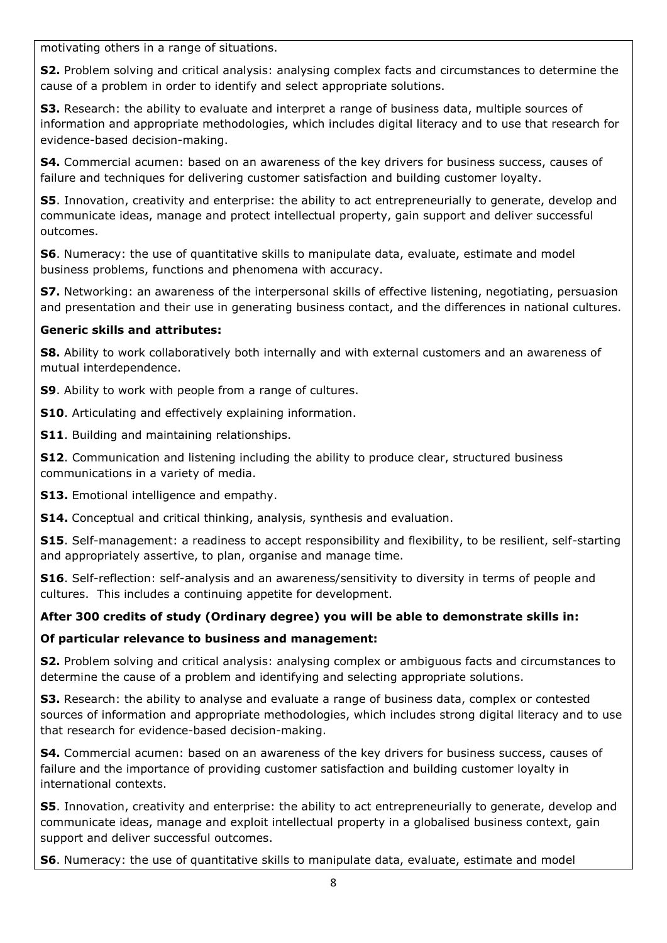motivating others in a range of situations.

**S2.** Problem solving and critical analysis: analysing complex facts and circumstances to determine the cause of a problem in order to identify and select appropriate solutions.

**S3.** Research: the ability to evaluate and interpret a range of business data, multiple sources of information and appropriate methodologies, which includes digital literacy and to use that research for evidence-based decision-making.

**S4.** Commercial acumen: based on an awareness of the key drivers for business success, causes of failure and techniques for delivering customer satisfaction and building customer loyalty.

**S5**. Innovation, creativity and enterprise: the ability to act entrepreneurially to generate, develop and communicate ideas, manage and protect intellectual property, gain support and deliver successful outcomes.

**S6**. Numeracy: the use of quantitative skills to manipulate data, evaluate, estimate and model business problems, functions and phenomena with accuracy.

**S7.** Networking: an awareness of the interpersonal skills of effective listening, negotiating, persuasion and presentation and their use in generating business contact, and the differences in national cultures.

#### **Generic skills and attributes:**

**S8.** Ability to work collaboratively both internally and with external customers and an awareness of mutual interdependence.

**S9**. Ability to work with people from a range of cultures.

**S10**. Articulating and effectively explaining information.

**S11**. Building and maintaining relationships.

**S12**. Communication and listening including the ability to produce clear, structured business communications in a variety of media.

**S13.** Emotional intelligence and empathy.

**S14.** Conceptual and critical thinking, analysis, synthesis and evaluation.

**S15**. Self-management: a readiness to accept responsibility and flexibility, to be resilient, self-starting and appropriately assertive, to plan, organise and manage time.

**S16**. Self-reflection: self-analysis and an awareness/sensitivity to diversity in terms of people and cultures. This includes a continuing appetite for development.

# **After 300 credits of study (Ordinary degree) you will be able to demonstrate skills in:**

#### **Of particular relevance to business and management:**

**S2.** Problem solving and critical analysis: analysing complex or ambiguous facts and circumstances to determine the cause of a problem and identifying and selecting appropriate solutions.

**S3.** Research: the ability to analyse and evaluate a range of business data, complex or contested sources of information and appropriate methodologies, which includes strong digital literacy and to use that research for evidence-based decision-making.

**S4.** Commercial acumen: based on an awareness of the key drivers for business success, causes of failure and the importance of providing customer satisfaction and building customer loyalty in international contexts.

**S5**. Innovation, creativity and enterprise: the ability to act entrepreneurially to generate, develop and communicate ideas, manage and exploit intellectual property in a globalised business context, gain support and deliver successful outcomes.

**S6**. Numeracy: the use of quantitative skills to manipulate data, evaluate, estimate and model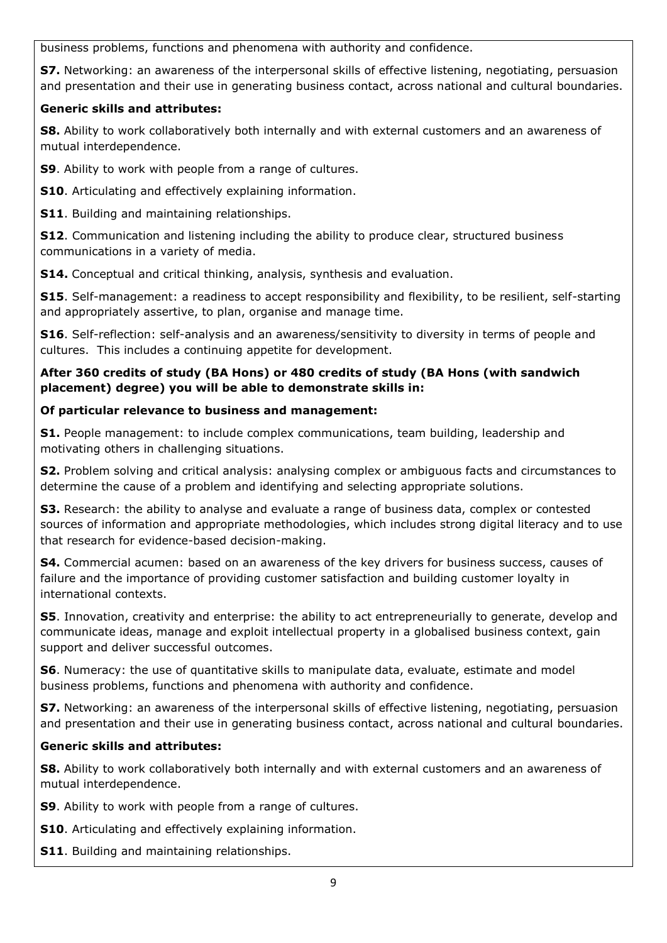business problems, functions and phenomena with authority and confidence.

**S7.** Networking: an awareness of the interpersonal skills of effective listening, negotiating, persuasion and presentation and their use in generating business contact, across national and cultural boundaries.

## **Generic skills and attributes:**

**S8.** Ability to work collaboratively both internally and with external customers and an awareness of mutual interdependence.

**S9**. Ability to work with people from a range of cultures.

**S10**. Articulating and effectively explaining information.

**S11**. Building and maintaining relationships.

**S12**. Communication and listening including the ability to produce clear, structured business communications in a variety of media.

**S14.** Conceptual and critical thinking, analysis, synthesis and evaluation.

**S15**. Self-management: a readiness to accept responsibility and flexibility, to be resilient, self-starting and appropriately assertive, to plan, organise and manage time.

**S16**. Self-reflection: self-analysis and an awareness/sensitivity to diversity in terms of people and cultures. This includes a continuing appetite for development.

## **After 360 credits of study (BA Hons) or 480 credits of study (BA Hons (with sandwich placement) degree) you will be able to demonstrate skills in:**

## **Of particular relevance to business and management:**

**S1.** People management: to include complex communications, team building, leadership and motivating others in challenging situations.

**S2.** Problem solving and critical analysis: analysing complex or ambiguous facts and circumstances to determine the cause of a problem and identifying and selecting appropriate solutions.

**S3.** Research: the ability to analyse and evaluate a range of business data, complex or contested sources of information and appropriate methodologies, which includes strong digital literacy and to use that research for evidence-based decision-making.

**S4.** Commercial acumen: based on an awareness of the key drivers for business success, causes of failure and the importance of providing customer satisfaction and building customer loyalty in international contexts.

**S5**. Innovation, creativity and enterprise: the ability to act entrepreneurially to generate, develop and communicate ideas, manage and exploit intellectual property in a globalised business context, gain support and deliver successful outcomes.

**S6**. Numeracy: the use of quantitative skills to manipulate data, evaluate, estimate and model business problems, functions and phenomena with authority and confidence.

**S7.** Networking: an awareness of the interpersonal skills of effective listening, negotiating, persuasion and presentation and their use in generating business contact, across national and cultural boundaries.

# **Generic skills and attributes:**

**S8.** Ability to work collaboratively both internally and with external customers and an awareness of mutual interdependence.

**S9**. Ability to work with people from a range of cultures.

**S10**. Articulating and effectively explaining information.

**S11**. Building and maintaining relationships.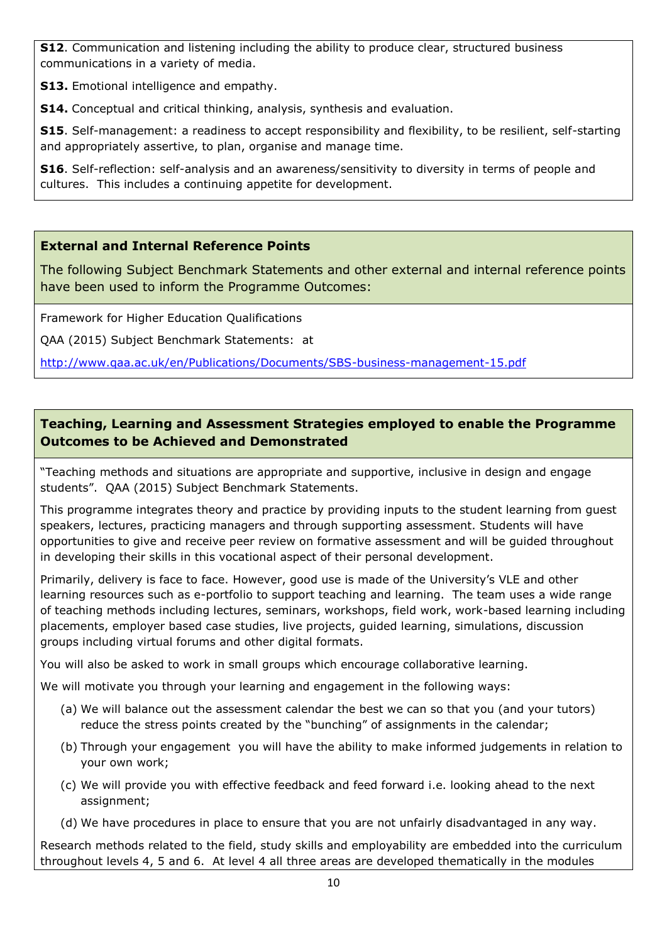**S12.** Communication and listening including the ability to produce clear, structured business communications in a variety of media.

**S13.** Emotional intelligence and empathy.

**S14.** Conceptual and critical thinking, analysis, synthesis and evaluation.

**S15**. Self-management: a readiness to accept responsibility and flexibility, to be resilient, self-starting and appropriately assertive, to plan, organise and manage time.

**S16**. Self-reflection: self-analysis and an awareness/sensitivity to diversity in terms of people and cultures. This includes a continuing appetite for development.

# **External and Internal Reference Points**

The following Subject Benchmark Statements and other external and internal reference points have been used to inform the Programme Outcomes:

Framework for Higher Education Qualifications

QAA (2015) Subject Benchmark Statements: at

<http://www.qaa.ac.uk/en/Publications/Documents/SBS-business-management-15.pdf>

# **Teaching, Learning and Assessment Strategies employed to enable the Programme Outcomes to be Achieved and Demonstrated**

"Teaching methods and situations are appropriate and supportive, inclusive in design and engage students". QAA (2015) Subject Benchmark Statements.

This programme integrates theory and practice by providing inputs to the student learning from guest speakers, lectures, practicing managers and through supporting assessment. Students will have opportunities to give and receive peer review on formative assessment and will be guided throughout in developing their skills in this vocational aspect of their personal development.

Primarily, delivery is face to face. However, good use is made of the University's VLE and other learning resources such as e-portfolio to support teaching and learning. The team uses a wide range of teaching methods including lectures, seminars, workshops, field work, work-based learning including placements, employer based case studies, live projects, guided learning, simulations, discussion groups including virtual forums and other digital formats.

You will also be asked to work in small groups which encourage collaborative learning.

We will motivate you through your learning and engagement in the following ways:

- (a) We will balance out the assessment calendar the best we can so that you (and your tutors) reduce the stress points created by the "bunching" of assignments in the calendar;
- (b) Through your engagement you will have the ability to make informed judgements in relation to your own work;
- (c) We will provide you with effective feedback and feed forward i.e. looking ahead to the next assignment;
- (d) We have procedures in place to ensure that you are not unfairly disadvantaged in any way.

Research methods related to the field, study skills and employability are embedded into the curriculum throughout levels 4, 5 and 6. At level 4 all three areas are developed thematically in the modules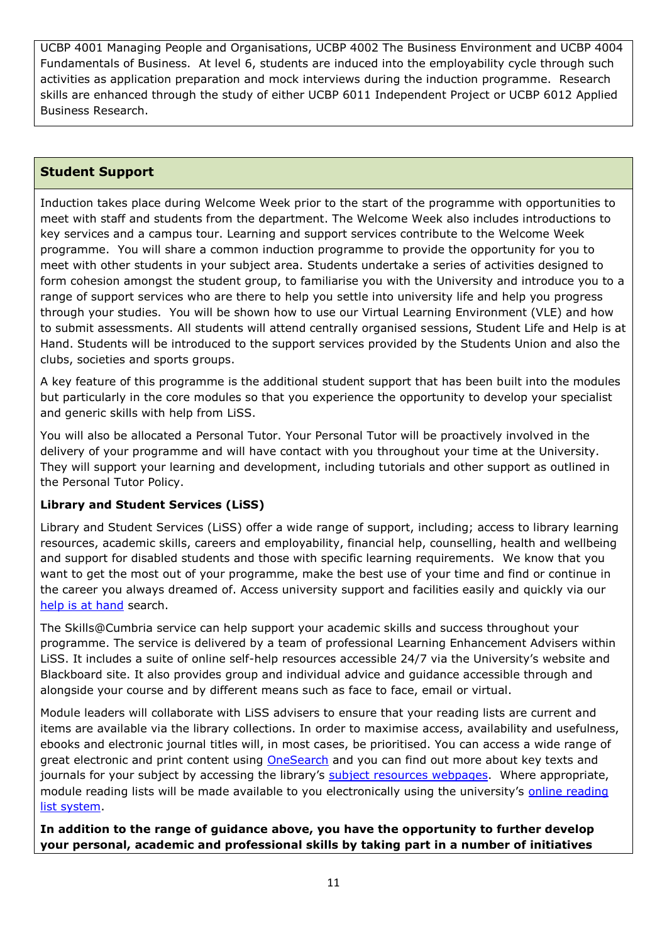UCBP 4001 Managing People and Organisations, UCBP 4002 The Business Environment and UCBP 4004 Fundamentals of Business. At level 6, students are induced into the employability cycle through such activities as application preparation and mock interviews during the induction programme. Research skills are enhanced through the study of either UCBP 6011 Independent Project or UCBP 6012 Applied Business Research.

#### **Student Support**

Induction takes place during Welcome Week prior to the start of the programme with opportunities to meet with staff and students from the department. The Welcome Week also includes introductions to key services and a campus tour. Learning and support services contribute to the Welcome Week programme. You will share a common induction programme to provide the opportunity for you to meet with other students in your subject area. Students undertake a series of activities designed to form cohesion amongst the student group, to familiarise you with the University and introduce you to a range of support services who are there to help you settle into university life and help you progress through your studies. You will be shown how to use our Virtual Learning Environment (VLE) and how to submit assessments. All students will attend centrally organised sessions, Student Life and Help is at Hand. Students will be introduced to the support services provided by the Students Union and also the clubs, societies and sports groups.

A key feature of this programme is the additional student support that has been built into the modules but particularly in the core modules so that you experience the opportunity to develop your specialist and generic skills with help from LiSS.

You will also be allocated a Personal Tutor. Your Personal Tutor will be proactively involved in the delivery of your programme and will have contact with you throughout your time at the University. They will support your learning and development, including tutorials and other support as outlined in the Personal Tutor Policy.

#### **Library and Student Services (LiSS)**

Library and Student Services (LiSS) offer a wide range of support, including; access to library learning resources, academic skills, careers and employability, financial help, counselling, health and wellbeing and support for disabled students and those with specific learning requirements. We know that you want to get the most out of your programme, make the best use of your time and find or continue in the career you always dreamed of. Access university support and facilities easily and quickly via our [help is at hand](http://my.cumbria.ac.uk/StudentLife/Support/Helpisathand.aspx) search.

The Skills@Cumbria service can help support your academic skills and success throughout your programme. The service is delivered by a team of professional Learning Enhancement Advisers within LiSS. It includes a suite of online self-help resources accessible 24/7 via the University's website and Blackboard site. It also provides group and individual advice and guidance accessible through and alongside your course and by different means such as face to face, email or virtual.

Module leaders will collaborate with LiSS advisers to ensure that your reading lists are current and items are available via the library collections. In order to maximise access, availability and usefulness, ebooks and electronic journal titles will, in most cases, be prioritised. You can access a wide range of great electronic and print content using [OneSearch](http://cumbria-primo.hosted.exlibrisgroup.com/primo_library/libweb/action/search.do?vid=44UOC_VU1) and you can find out more about key texts and journals for your subject by accessing the library's [subject resources](http://www.cumbria.ac.uk/StudentLife/Learning/Resources/Subjects/Home.aspx) webpages. Where appropriate, module reading lists will be made available to you electronically using the university's [online reading](https://cumbria.rebuslist.com/)  [list system.](https://cumbria.rebuslist.com/)

**In addition to the range of guidance above, you have the opportunity to further develop your personal, academic and professional skills by taking part in a number of initiatives**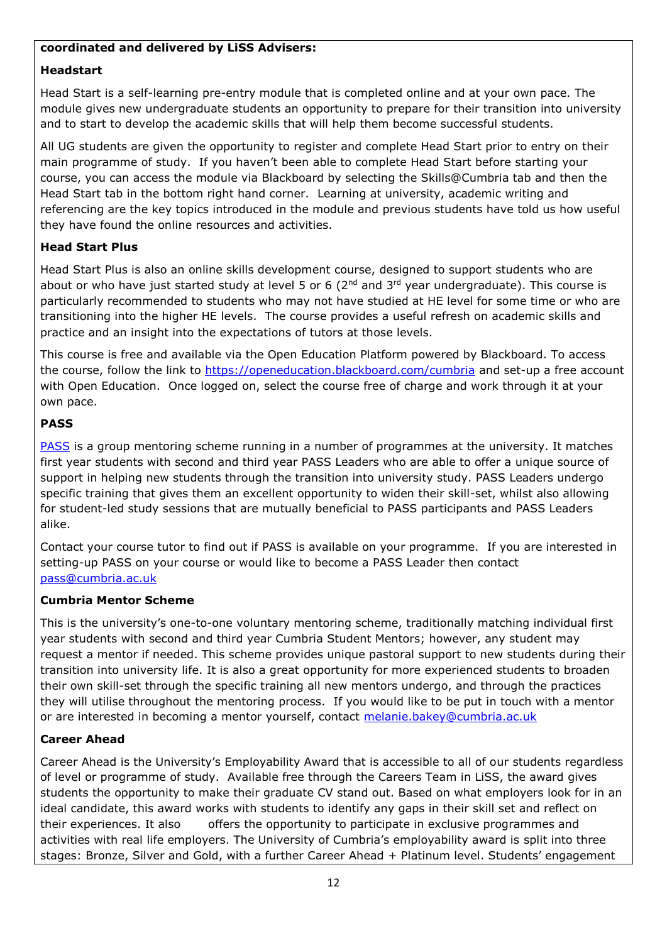#### **coordinated and delivered by LiSS Advisers:**

#### **Headstart**

Head Start is a self-learning pre-entry module that is completed online and at your own pace. The module gives new undergraduate students an opportunity to prepare for their transition into university and to start to develop the academic skills that will help them become successful students.

All UG students are given the opportunity to register and complete Head Start prior to entry on their main programme of study. If you haven't been able to complete Head Start before starting your course, you can access the module via Blackboard by selecting the Skills@Cumbria tab and then the Head Start tab in the bottom right hand corner. Learning at university, academic writing and referencing are the key topics introduced in the module and previous students have told us how useful they have found the online resources and activities.

#### **Head Start Plus**

Head Start Plus is also an online skills development course, designed to support students who are about or who have just started study at level 5 or 6 ( $2<sup>nd</sup>$  and  $3<sup>rd</sup>$  year undergraduate). This course is particularly recommended to students who may not have studied at HE level for some time or who are transitioning into the higher HE levels. The course provides a useful refresh on academic skills and practice and an insight into the expectations of tutors at those levels.

This course is free and available via the Open Education Platform powered by Blackboard. To access the course, follow the link to<https://openeducation.blackboard.com/cumbria> and set-up a free account with Open Education. Once logged on, select the course free of charge and work through it at your own pace.

#### **PASS**

[PASS](http://www.cumbria.ac.uk/StudentLife/Learning/Mentoring/Home.aspx) is a group mentoring scheme running in a number of programmes at the university. It matches first year students with second and third year PASS Leaders who are able to offer a unique source of support in helping new students through the transition into university study. PASS Leaders undergo specific training that gives them an excellent opportunity to widen their skill-set, whilst also allowing for student-led study sessions that are mutually beneficial to PASS participants and PASS Leaders alike.

Contact your course tutor to find out if PASS is available on your programme. If you are interested in setting-up PASS on your course or would like to become a PASS Leader then contact [pass@cumbria.ac.uk](mailto:pass@cumbria.ac.uk)

#### **Cumbria Mentor Scheme**

This is the university's one-to-one voluntary mentoring scheme, traditionally matching individual first year students with second and third year Cumbria Student Mentors; however, any student may request a mentor if needed. This scheme provides unique pastoral support to new students during their transition into university life. It is also a great opportunity for more experienced students to broaden their own skill-set through the specific training all new mentors undergo, and through the practices they will utilise throughout the mentoring process. If you would like to be put in touch with a mentor or are interested in becoming a mentor yourself, contact [melanie.bakey@cumbria.ac.uk](mailto:melanie.bakey@cumbria.ac.uk)

#### **Career Ahead**

Career Ahead is the University's Employability Award that is accessible to all of our students regardless of level or programme of study. Available free through the Careers Team in LiSS, the award gives students the opportunity to make their graduate CV stand out. Based on what employers look for in an ideal candidate, this award works with students to identify any gaps in their skill set and reflect on their experiences. It also offers the opportunity to participate in exclusive programmes and activities with real life employers. The University of Cumbria's employability award is split into three stages: Bronze, Silver and Gold, with a further Career Ahead + Platinum level. Students' engagement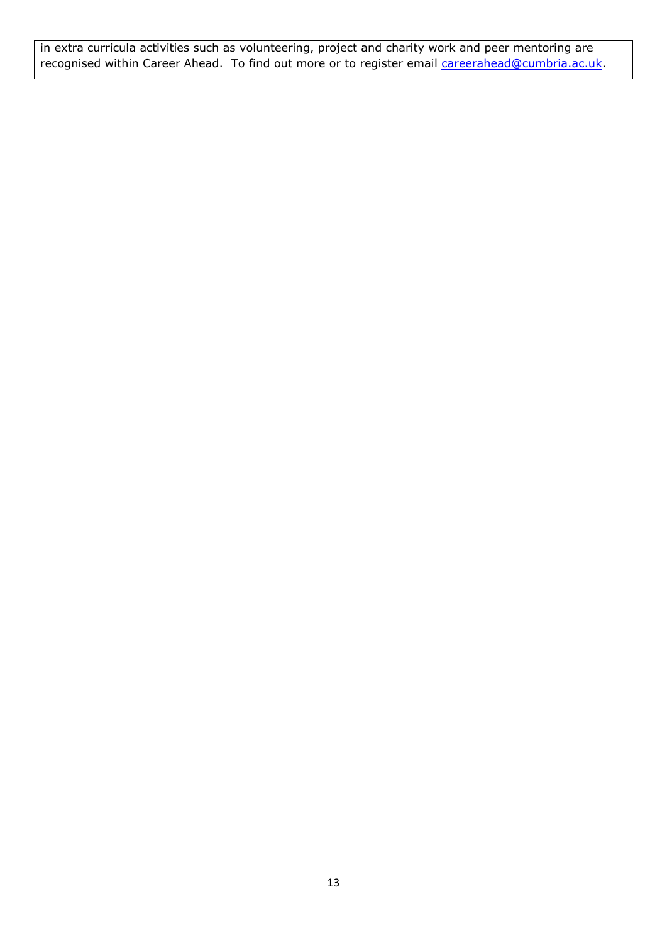in extra curricula activities such as volunteering, project and charity work and peer mentoring are recognised within Career Ahead. To find out more or to register email [careerahead@cumbria.ac.uk.](mailto:careerahead@cumbria.ac.uk)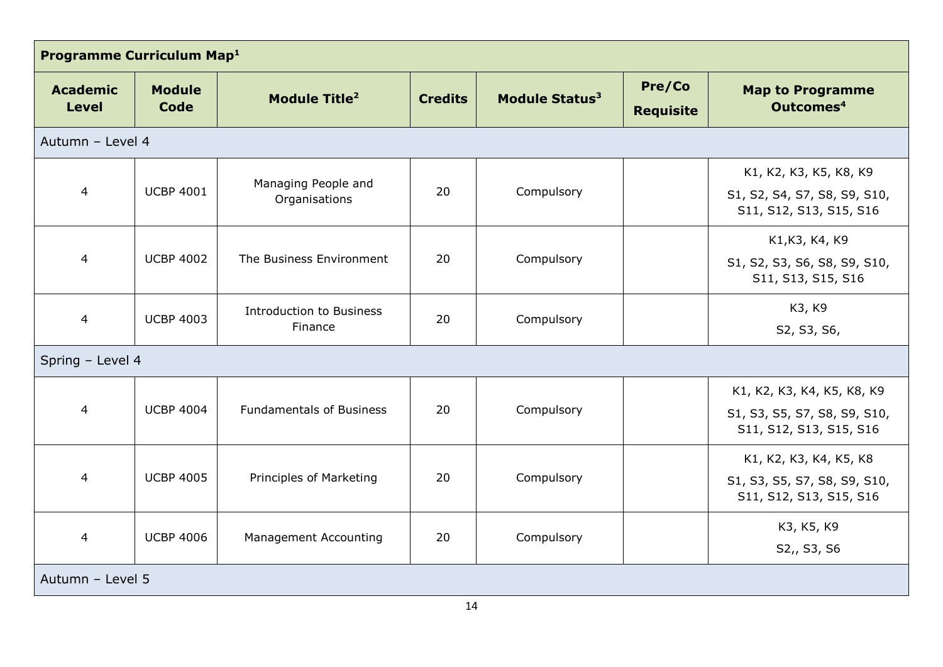| Programme Curriculum Map <sup>1</sup> |                       |                                            |                |                            |                            |                                                                                       |
|---------------------------------------|-----------------------|--------------------------------------------|----------------|----------------------------|----------------------------|---------------------------------------------------------------------------------------|
| <b>Academic</b><br><b>Level</b>       | <b>Module</b><br>Code | Module Title <sup>2</sup>                  | <b>Credits</b> | Module Status <sup>3</sup> | Pre/Co<br><b>Requisite</b> | <b>Map to Programme</b><br>Outcomes <sup>4</sup>                                      |
| Autumn - Level 4                      |                       |                                            |                |                            |                            |                                                                                       |
| 4                                     | <b>UCBP 4001</b>      | Managing People and<br>Organisations       | 20             | Compulsory                 |                            | K1, K2, K3, K5, K8, K9<br>S1, S2, S4, S7, S8, S9, S10,<br>S11, S12, S13, S15, S16     |
| $\overline{4}$                        | <b>UCBP 4002</b>      | The Business Environment                   | 20             | Compulsory                 |                            | K1, K3, K4, K9<br>S1, S2, S3, S6, S8, S9, S10,<br>S11, S13, S15, S16                  |
| 4                                     | <b>UCBP 4003</b>      | <b>Introduction to Business</b><br>Finance | 20             | Compulsory                 |                            | K3, K9<br>S2, S3, S6,                                                                 |
| Spring - Level 4                      |                       |                                            |                |                            |                            |                                                                                       |
| $\overline{4}$                        | <b>UCBP 4004</b>      | <b>Fundamentals of Business</b>            | 20             | Compulsory                 |                            | K1, K2, K3, K4, K5, K8, K9<br>S1, S3, S5, S7, S8, S9, S10,<br>S11, S12, S13, S15, S16 |
| 4                                     | <b>UCBP 4005</b>      | Principles of Marketing                    | 20             | Compulsory                 |                            | K1, K2, K3, K4, K5, K8<br>S1, S3, S5, S7, S8, S9, S10,<br>S11, S12, S13, S15, S16     |
| 4                                     | <b>UCBP 4006</b>      | <b>Management Accounting</b>               | 20             | Compulsory                 |                            | K3, K5, K9<br>S2,, S3, S6                                                             |
| Autumn - Level 5                      |                       |                                            |                |                            |                            |                                                                                       |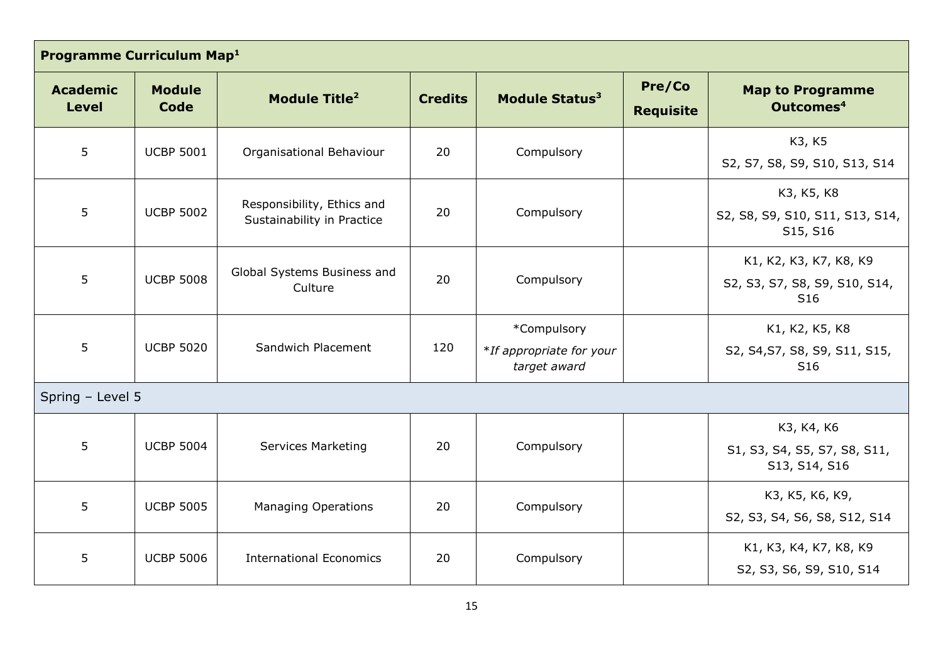| Programme Curriculum Map <sup>1</sup> |                       |                                                          |                |                                                         |                            |                                                                            |
|---------------------------------------|-----------------------|----------------------------------------------------------|----------------|---------------------------------------------------------|----------------------------|----------------------------------------------------------------------------|
| <b>Academic</b><br><b>Level</b>       | <b>Module</b><br>Code | <b>Module Title<sup>2</sup></b>                          | <b>Credits</b> | Module Status <sup>3</sup>                              | Pre/Co<br><b>Requisite</b> | <b>Map to Programme</b><br>Outcomes <sup>4</sup>                           |
| 5                                     | <b>UCBP 5001</b>      | Organisational Behaviour                                 | 20             | Compulsory                                              |                            | K3, K5<br>S2, S7, S8, S9, S10, S13, S14                                    |
| 5                                     | <b>UCBP 5002</b>      | Responsibility, Ethics and<br>Sustainability in Practice | 20             | Compulsory                                              |                            | K3, K5, K8<br>S2, S8, S9, S10, S11, S13, S14,<br>S15, S16                  |
| 5                                     | <b>UCBP 5008</b>      | Global Systems Business and<br>Culture                   | 20             | Compulsory                                              |                            | K1, K2, K3, K7, K8, K9<br>S2, S3, S7, S8, S9, S10, S14,<br>S <sub>16</sub> |
| 5                                     | <b>UCBP 5020</b>      | Sandwich Placement                                       | 120            | *Compulsory<br>*If appropriate for your<br>target award |                            | K1, K2, K5, K8<br>S2, S4, S7, S8, S9, S11, S15,<br>S <sub>16</sub>         |
| Spring - Level 5                      |                       |                                                          |                |                                                         |                            |                                                                            |
| 5                                     | <b>UCBP 5004</b>      | <b>Services Marketing</b>                                | 20             | Compulsory                                              |                            | K3, K4, K6<br>S1, S3, S4, S5, S7, S8, S11,<br>S13, S14, S16                |
| 5                                     | <b>UCBP 5005</b>      | <b>Managing Operations</b>                               | 20             | Compulsory                                              |                            | K3, K5, K6, K9,<br>S2, S3, S4, S6, S8, S12, S14                            |
| 5                                     | <b>UCBP 5006</b>      | <b>International Economics</b>                           | 20             | Compulsory                                              |                            | K1, K3, K4, K7, K8, K9<br>S2, S3, S6, S9, S10, S14                         |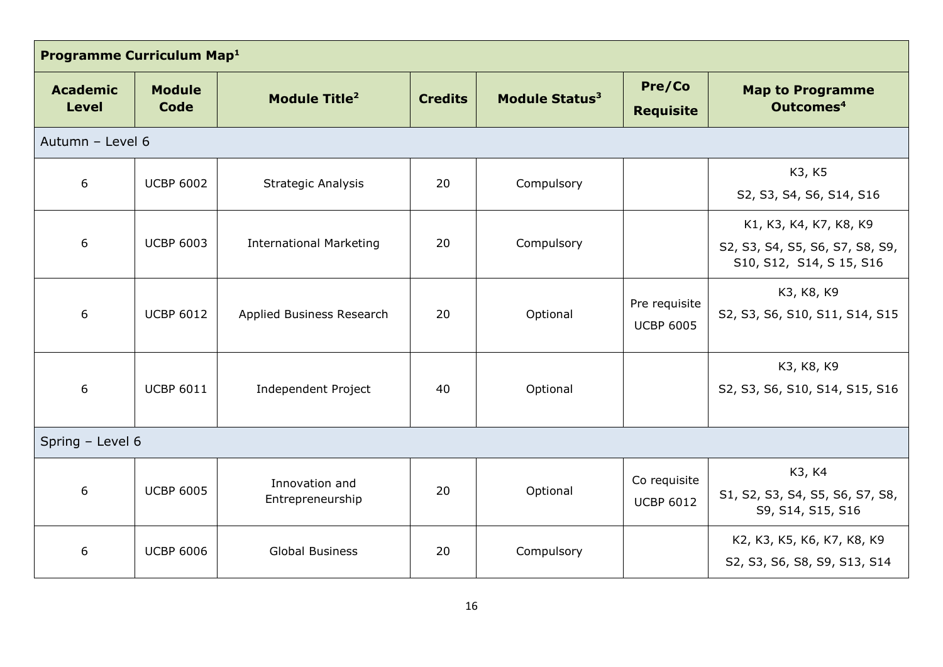| Programme Curriculum Map <sup>1</sup> |                              |                                    |                |                            |                                   |                                                                                      |
|---------------------------------------|------------------------------|------------------------------------|----------------|----------------------------|-----------------------------------|--------------------------------------------------------------------------------------|
| <b>Academic</b><br><b>Level</b>       | <b>Module</b><br><b>Code</b> | Module Title <sup>2</sup>          | <b>Credits</b> | Module Status <sup>3</sup> | Pre/Co<br><b>Requisite</b>        | <b>Map to Programme</b><br>Outcomes <sup>4</sup>                                     |
| Autumn - Level 6                      |                              |                                    |                |                            |                                   |                                                                                      |
| 6                                     | <b>UCBP 6002</b>             | <b>Strategic Analysis</b>          | 20             | Compulsory                 |                                   | K3, K5<br>S2, S3, S4, S6, S14, S16                                                   |
| 6                                     | <b>UCBP 6003</b>             | <b>International Marketing</b>     | 20             | Compulsory                 |                                   | K1, K3, K4, K7, K8, K9<br>S2, S3, S4, S5, S6, S7, S8, S9,<br>S10, S12, S14, S15, S16 |
| 6                                     | <b>UCBP 6012</b>             | Applied Business Research          | 20             | Optional                   | Pre requisite<br><b>UCBP 6005</b> | K3, K8, K9<br>S2, S3, S6, S10, S11, S14, S15                                         |
| 6                                     | <b>UCBP 6011</b>             | Independent Project                | 40             | Optional                   |                                   | K3, K8, K9<br>S2, S3, S6, S10, S14, S15, S16                                         |
| Spring - Level 6                      |                              |                                    |                |                            |                                   |                                                                                      |
| 6                                     | <b>UCBP 6005</b>             | Innovation and<br>Entrepreneurship | 20             | Optional                   | Co requisite<br><b>UCBP 6012</b>  | K3, K4<br>S1, S2, S3, S4, S5, S6, S7, S8,<br>S9, S14, S15, S16                       |
| 6                                     | <b>UCBP 6006</b>             | <b>Global Business</b>             | 20             | Compulsory                 |                                   | K2, K3, K5, K6, K7, K8, K9<br>S2, S3, S6, S8, S9, S13, S14                           |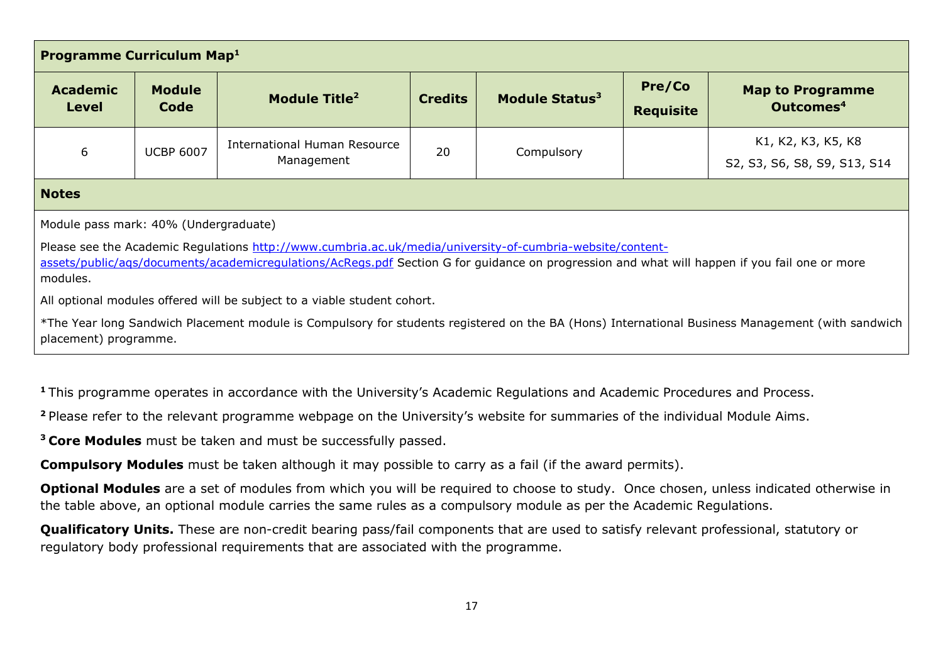| <b>Programme Curriculum Map1</b>                                                                                                                                                                                                                                                                                                                                                                                                                                                                                                                                         |                       |                                            |                |                            |                            |                                                    |
|--------------------------------------------------------------------------------------------------------------------------------------------------------------------------------------------------------------------------------------------------------------------------------------------------------------------------------------------------------------------------------------------------------------------------------------------------------------------------------------------------------------------------------------------------------------------------|-----------------------|--------------------------------------------|----------------|----------------------------|----------------------------|----------------------------------------------------|
| <b>Academic</b><br><b>Level</b>                                                                                                                                                                                                                                                                                                                                                                                                                                                                                                                                          | <b>Module</b><br>Code | Module Title <sup>2</sup>                  | <b>Credits</b> | Module Status <sup>3</sup> | Pre/Co<br><b>Requisite</b> | <b>Map to Programme</b><br>Outcomes <sup>4</sup>   |
| 6                                                                                                                                                                                                                                                                                                                                                                                                                                                                                                                                                                        | <b>UCBP 6007</b>      | International Human Resource<br>Management | 20             | Compulsory                 |                            | K1, K2, K3, K5, K8<br>S2, S3, S6, S8, S9, S13, S14 |
| <b>Notes</b>                                                                                                                                                                                                                                                                                                                                                                                                                                                                                                                                                             |                       |                                            |                |                            |                            |                                                    |
| Module pass mark: 40% (Undergraduate)<br>Please see the Academic Regulations http://www.cumbria.ac.uk/media/university-of-cumbria-website/content-<br>assets/public/ags/documents/academicregulations/AcRegs.pdf Section G for guidance on progression and what will happen if you fail one or more<br>modules.<br>All optional modules offered will be subject to a viable student cohort.<br>*The Year long Sandwich Placement module is Compulsory for students registered on the BA (Hons) International Business Management (with sandwich<br>placement) programme. |                       |                                            |                |                            |                            |                                                    |
| <sup>1</sup> This programme operates in accordance with the University's Academic Regulations and Academic Procedures and Process.<br><sup>2</sup> Please refer to the relevant programme webpage on the University's website for summaries of the individual Module Aims.                                                                                                                                                                                                                                                                                               |                       |                                            |                |                            |                            |                                                    |

**<sup>3</sup>Core Modules** must be taken and must be successfully passed.

**Compulsory Modules** must be taken although it may possible to carry as a fail (if the award permits).

**Optional Modules** are a set of modules from which you will be required to choose to study. Once chosen, unless indicated otherwise in the table above, an optional module carries the same rules as a compulsory module as per the Academic Regulations.

**Qualificatory Units.** These are non-credit bearing pass/fail components that are used to satisfy relevant professional, statutory or regulatory body professional requirements that are associated with the programme.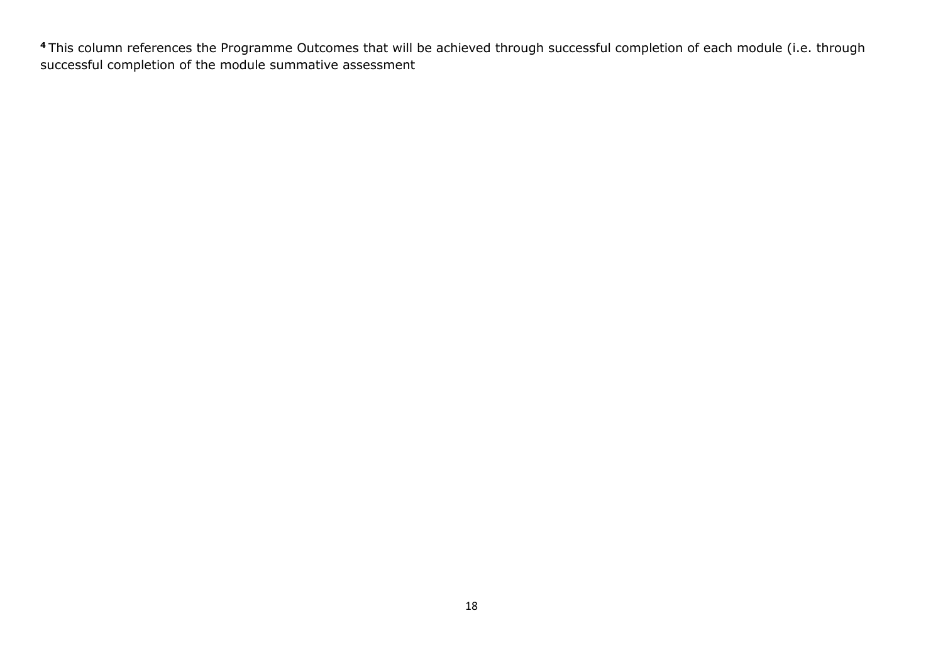This column references the Programme Outcomes that will be achieved through successful completion of each module (i.e. through successful completion of the module summative assessment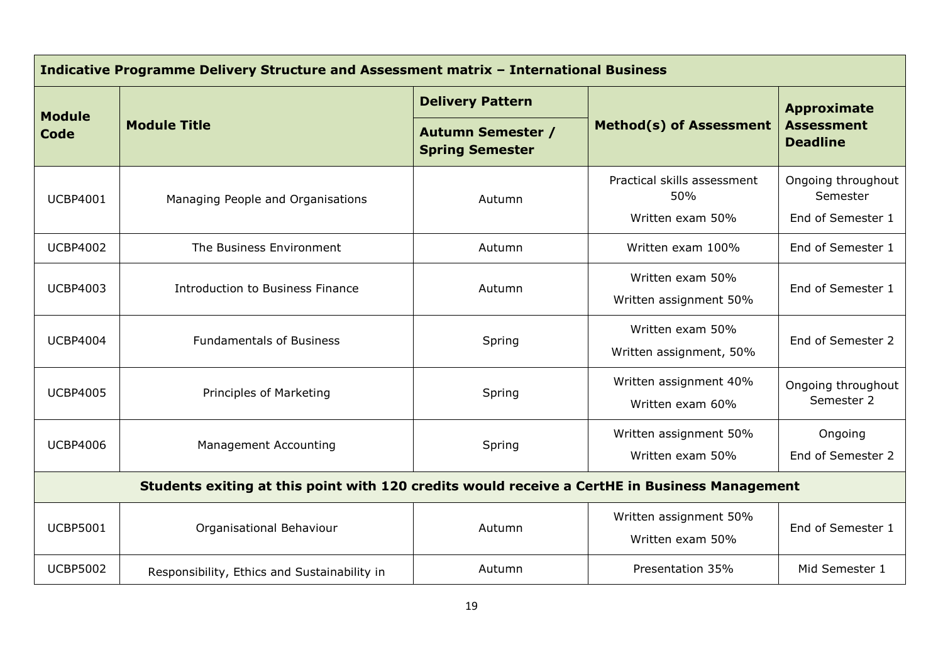| Indicative Programme Delivery Structure and Assessment matrix - International Business        |                                              |                                                    |                                             |                                                            |  |
|-----------------------------------------------------------------------------------------------|----------------------------------------------|----------------------------------------------------|---------------------------------------------|------------------------------------------------------------|--|
|                                                                                               |                                              | <b>Delivery Pattern</b>                            |                                             | <b>Approximate</b><br><b>Assessment</b><br><b>Deadline</b> |  |
| <b>Module</b><br>Code                                                                         | <b>Module Title</b>                          | <b>Autumn Semester /</b><br><b>Spring Semester</b> | <b>Method(s) of Assessment</b>              |                                                            |  |
| <b>UCBP4001</b>                                                                               | Managing People and Organisations            | Autumn                                             | Practical skills assessment<br>50%          | Ongoing throughout<br>Semester                             |  |
|                                                                                               |                                              |                                                    | Written exam 50%                            | End of Semester 1                                          |  |
| <b>UCBP4002</b>                                                                               | The Business Environment                     | Autumn                                             | Written exam 100%                           | End of Semester 1                                          |  |
| <b>UCBP4003</b>                                                                               | Introduction to Business Finance             | Autumn                                             | Written exam 50%                            | End of Semester 1                                          |  |
|                                                                                               |                                              |                                                    | Written assignment 50%                      |                                                            |  |
| <b>UCBP4004</b>                                                                               | <b>Fundamentals of Business</b>              | Spring                                             | Written exam 50%<br>Written assignment, 50% | End of Semester 2                                          |  |
| <b>UCBP4005</b>                                                                               | Principles of Marketing                      | Spring                                             | Written assignment 40%<br>Written exam 60%  | Ongoing throughout<br>Semester 2                           |  |
|                                                                                               |                                              |                                                    | Written assignment 50%                      | Ongoing                                                    |  |
| <b>UCBP4006</b>                                                                               |                                              | <b>Management Accounting</b><br>Spring             |                                             | End of Semester 2                                          |  |
| Students exiting at this point with 120 credits would receive a CertHE in Business Management |                                              |                                                    |                                             |                                                            |  |
| <b>UCBP5001</b>                                                                               | Organisational Behaviour                     | Autumn                                             | Written assignment 50%<br>Written exam 50%  | End of Semester 1                                          |  |
| <b>UCBP5002</b>                                                                               | Responsibility, Ethics and Sustainability in | Autumn                                             | Presentation 35%                            | Mid Semester 1                                             |  |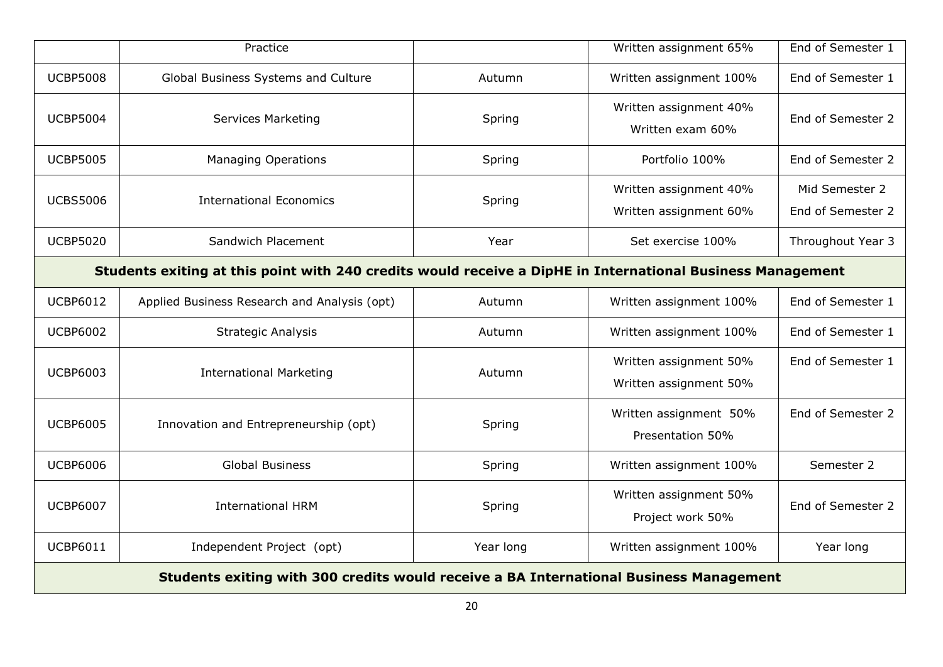|                                                                                                            | Practice                                     |           | Written assignment 65%                           | End of Semester 1                   |  |
|------------------------------------------------------------------------------------------------------------|----------------------------------------------|-----------|--------------------------------------------------|-------------------------------------|--|
| <b>UCBP5008</b>                                                                                            | Global Business Systems and Culture          | Autumn    | Written assignment 100%                          | End of Semester 1                   |  |
| <b>UCBP5004</b>                                                                                            | <b>Services Marketing</b>                    | Spring    | Written assignment 40%<br>Written exam 60%       | End of Semester 2                   |  |
| <b>UCBP5005</b>                                                                                            | <b>Managing Operations</b>                   | Spring    | Portfolio 100%                                   | End of Semester 2                   |  |
| <b>UCBS5006</b>                                                                                            | <b>International Economics</b>               | Spring    | Written assignment 40%<br>Written assignment 60% | Mid Semester 2<br>End of Semester 2 |  |
| <b>UCBP5020</b>                                                                                            | Sandwich Placement                           | Year      | Set exercise 100%                                | Throughout Year 3                   |  |
| Students exiting at this point with 240 credits would receive a DipHE in International Business Management |                                              |           |                                                  |                                     |  |
| <b>UCBP6012</b>                                                                                            | Applied Business Research and Analysis (opt) | Autumn    | Written assignment 100%                          | End of Semester 1                   |  |
| <b>UCBP6002</b>                                                                                            | <b>Strategic Analysis</b>                    | Autumn    | Written assignment 100%                          | End of Semester 1                   |  |
| <b>UCBP6003</b>                                                                                            | <b>International Marketing</b>               | Autumn    | Written assignment 50%<br>Written assignment 50% | End of Semester 1                   |  |
| <b>UCBP6005</b>                                                                                            | Innovation and Entrepreneurship (opt)        | Spring    | Written assignment 50%<br>Presentation 50%       | End of Semester 2                   |  |
| <b>UCBP6006</b>                                                                                            | <b>Global Business</b>                       | Spring    | Written assignment 100%                          | Semester 2                          |  |
| <b>UCBP6007</b>                                                                                            | <b>International HRM</b>                     | Spring    | Written assignment 50%<br>Project work 50%       | End of Semester 2                   |  |
| <b>UCBP6011</b>                                                                                            | Independent Project (opt)                    | Year long | Written assignment 100%                          | Year long                           |  |
| Students exiting with 300 credits would receive a BA International Business Management                     |                                              |           |                                                  |                                     |  |